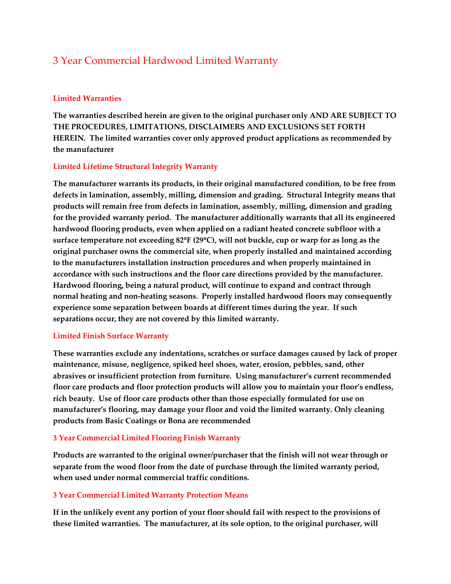# 3 Year Commercial Hardwood Limited Warranty

#### **Limited Warranties**

**The warranties described herein are given to the original purchaser only AND ARE SUBJECT TO THE PROCEDURES, LIMITATIONS, DISCLAIMERS AND EXCLUSIONS SET FORTH HEREIN. The limited warranties cover only approved product applications as recommended by the manufacturer**

### **Limited Lifetime Structural Integrity Warranty**

**The manufacturer warrants its products, in their original manufactured condition, to be free from defects in lamination, assembly, milling, dimension and grading. Structural Integrity means that products will remain free from defects in lamination, assembly, milling, dimension and grading for the provided warranty period. The manufacturer additionally warrants that all its engineered hardwood flooring products, even when applied on a radiant heated concrete subfloor with a surface temperature not exceeding 82**°**F (29**°**C), will not buckle, cup or warp for as long as the original purchaser owns the commercial site, when properly installed and maintained according to the manufacturers installation instruction procedures and when properly maintained in accordance with such instructions and the floor care directions provided by the manufacturer. Hardwood flooring, being a natural product, will continue to expand and contract through normal heating and non-heating seasons. Properly installed hardwood floors may consequently experience some separation between boards at different times during the year. If such separations occur, they are not covered by this limited warranty.**

#### **Limited Finish Surface Warranty**

**These warranties exclude any indentations, scratches or surface damages caused by lack of proper maintenance, misuse, negligence, spiked heel shoes, water, erosion, pebbles, sand, other abrasives or insufficient protection from furniture. Using manufacturer's current recommended floor care products and floor protection products will allow you to maintain your floor's endless, rich beauty. Use of floor care products other than those especially formulated for use on manufacturer's flooring, may damage your floor and void the limited warranty. Only cleaning products from Basic Coatings or Bona are recommended**

#### **3 Year Commercial Limited Flooring Finish Warranty**

**Products are warranted to the original owner/purchaser that the finish will not wear through or separate from the wood floor from the date of purchase through the limited warranty period, when used under normal commercial traffic conditions.**

#### **3 Year Commercial Limited Warranty Protection Means**

**If in the unlikely event any portion of your floor should fail with respect to the provisions of these limited warranties. The manufacturer, at its sole option, to the original purchaser, will**